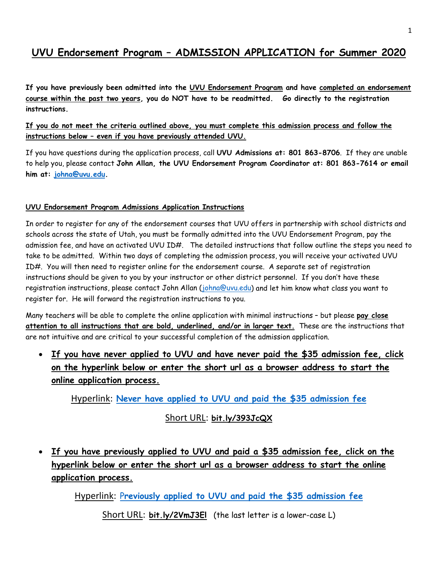## **UVU Endorsement Program – ADMISSION APPLICATION for Summer 2020**

**If you have previously been admitted into the UVU Endorsement Program and have completed an endorsement course within the past two years, you do NOT have to be readmitted. Go directly to the registration instructions.** 

#### **If you do not meet the criteria outlined above, you must complete this admission process and follow the instructions below – even if you have previously attended UVU.**

If you have questions during the application process, call **UVU Admissions at: 801 863-8706**. If they are unable to help you, please contact **John Allan, the UVU Endorsement Program Coordinator at: 801 863-7614 or email him at: [johna@uvu.edu.](mailto:johna@uvu.edu)**

#### **UVU Endorsement Program Admissions Application Instructions**

In order to register for any of the endorsement courses that UVU offers in partnership with school districts and schools across the state of Utah, you must be formally admitted into the UVU Endorsement Program, pay the admission fee, and have an activated UVU ID#. The detailed instructions that follow outline the steps you need to take to be admitted. Within two days of completing the admission process, you will receive your activated UVU ID#. You will then need to register online for the endorsement course. A separate set of registration instructions should be given to you by your instructor or other district personnel. If you don't have these registration instructions, please contact John Allan [\(johna@uvu.edu\)](mailto:johna@uvu.edu) and let him know what class you want to register for. He will forward the registration instructions to you.

Many teachers will be able to complete the online application with minimal instructions – but please **pay close attention to all instructions that are bold, underlined, and/or in larger text.** These are the instructions that are not intuitive and are critical to your successful completion of the admission application.

• **If you have never applied to UVU and have never paid the \$35 admission fee, click on the hyperlink below or enter the short url as a browser address to start the online application process.**

Hyperlink: **[Never have applied to UVU and paid the \\$35 admission fee](https://uvu.elluciancrmrecruit.com/Admissions/Pages/application.aspx?type=elcn_endorsement1)**

### Short URL: **bit.ly/393JcQX**

• **If you have previously applied to UVU and paid a \$35 admission fee, click on the hyperlink below or enter the short url as a browser address to start the online application process.**

Hyperlink: P**[reviously applied to UVU and paid the \\$35 admission fee](https://uvu.elluciancrmrecruit.com/Admissions/Pages/application.aspx?type=elcn_endorsementreadmit)**

Short URL: **bit.ly/2VmJ3El** (the last letter is a lower-case L)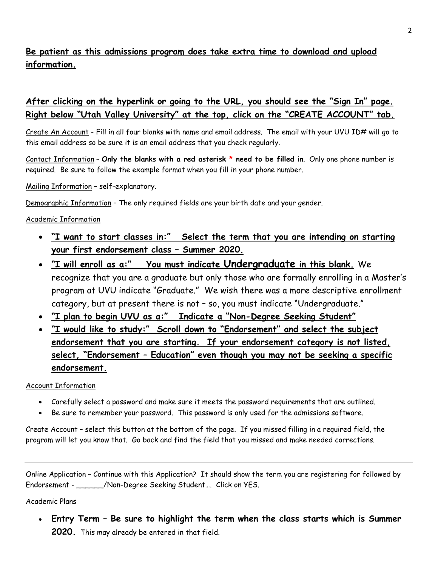## **Be patient as this admissions program does take extra time to download and upload information.**

## **After clicking on the hyperlink or going to the URL, you should see the "Sign In" page. Right below "Utah Valley University" at the top, click on the "CREATE ACCOUNT" tab.**

Create An Account - Fill in all four blanks with name and email address. The email with your UVU ID# will go to this email address so be sure it is an email address that you check regularly.

Contact Information – **Only the blanks with a red asterisk \* need to be filled in**. Only one phone number is required. Be sure to follow the example format when you fill in your phone number.

Mailing Information – self-explanatory.

Demographic Information – The only required fields are your birth date and your gender.

#### Academic Information

- **"I want to start classes in:" Select the term that you are intending on starting your first endorsement class – Summer 2020.**
- **"I will enroll as a:" You must indicate Undergraduate in this blank.** We recognize that you are a graduate but only those who are formally enrolling in a Master's program at UVU indicate "Graduate." We wish there was a more descriptive enrollment category, but at present there is not – so, you must indicate "Undergraduate."
- **"I plan to begin UVU as a:" Indicate a "Non-Degree Seeking Student"**
- **"I would like to study:" Scroll down to "Endorsement" and select the subject endorsement that you are starting. If your endorsement category is not listed, select, "Endorsement – Education" even though you may not be seeking a specific endorsement.**

#### Account Information

- Carefully select a password and make sure it meets the password requirements that are outlined.
- Be sure to remember your password. This password is only used for the admissions software.

Create Account – select this button at the bottom of the page. If you missed filling in a required field, the program will let you know that. Go back and find the field that you missed and make needed corrections.

Online Application – Continue with this Application? It should show the term you are registering for followed by Endorsement - <br>
Alon-Degree Seeking Student.... Click on YES.

#### Academic Plans

• **Entry Term – Be sure to highlight the term when the class starts which is Summer 2020.** This may already be entered in that field.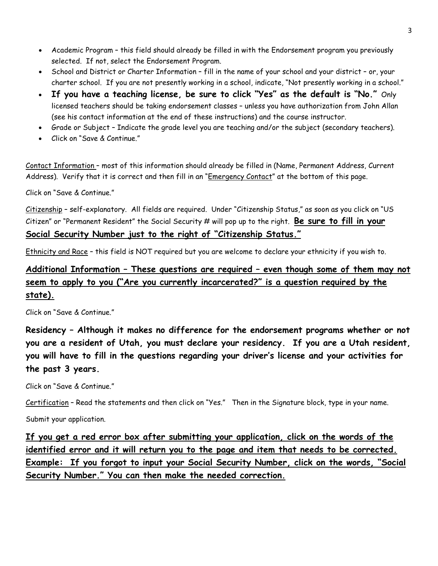- Academic Program this field should already be filled in with the Endorsement program you previously selected. If not, select the Endorsement Program.
- School and District or Charter Information fill in the name of your school and your district or, your charter school. If you are not presently working in a school, indicate, "Not presently working in a school."
- **If you have a teaching license, be sure to click "Yes" as the default is "No."** Only licensed teachers should be taking endorsement classes – unless you have authorization from John Allan (see his contact information at the end of these instructions) and the course instructor.
- Grade or Subject Indicate the grade level you are teaching and/or the subject (secondary teachers).
- Click on "Save & Continue."

Contact Information – most of this information should already be filled in (Name, Permanent Address, Current Address). Verify that it is correct and then fill in an "Emergency Contact" at the bottom of this page.

Click on "Save & Continue."

Citizenship – self-explanatory. All fields are required. Under "Citizenship Status," as soon as you click on "US Citizen" or "Permanent Resident" the Social Security # will pop up to the right. **Be sure to fill in your Social Security Number just to the right of "Citizenship Status."**

Ethnicity and Race - this field is NOT required but you are welcome to declare your ethnicity if you wish to.

## **Additional Information – These questions are required – even though some of them may not seem to apply to you ("Are you currently incarcerated?" is a question required by the state).**

Click on "Save & Continue."

**Residency – Although it makes no difference for the endorsement programs whether or not you are a resident of Utah, you must declare your residency. If you are a Utah resident, you will have to fill in the questions regarding your driver's license and your activities for the past 3 years.** 

Click on "Save & Continue."

Certification – Read the statements and then click on "Yes." Then in the Signature block, type in your name.

Submit your application.

**If you get a red error box after submitting your application, click on the words of the identified error and it will return you to the page and item that needs to be corrected. Example: If you forgot to input your Social Security Number, click on the words, "Social Security Number." You can then make the needed correction.**